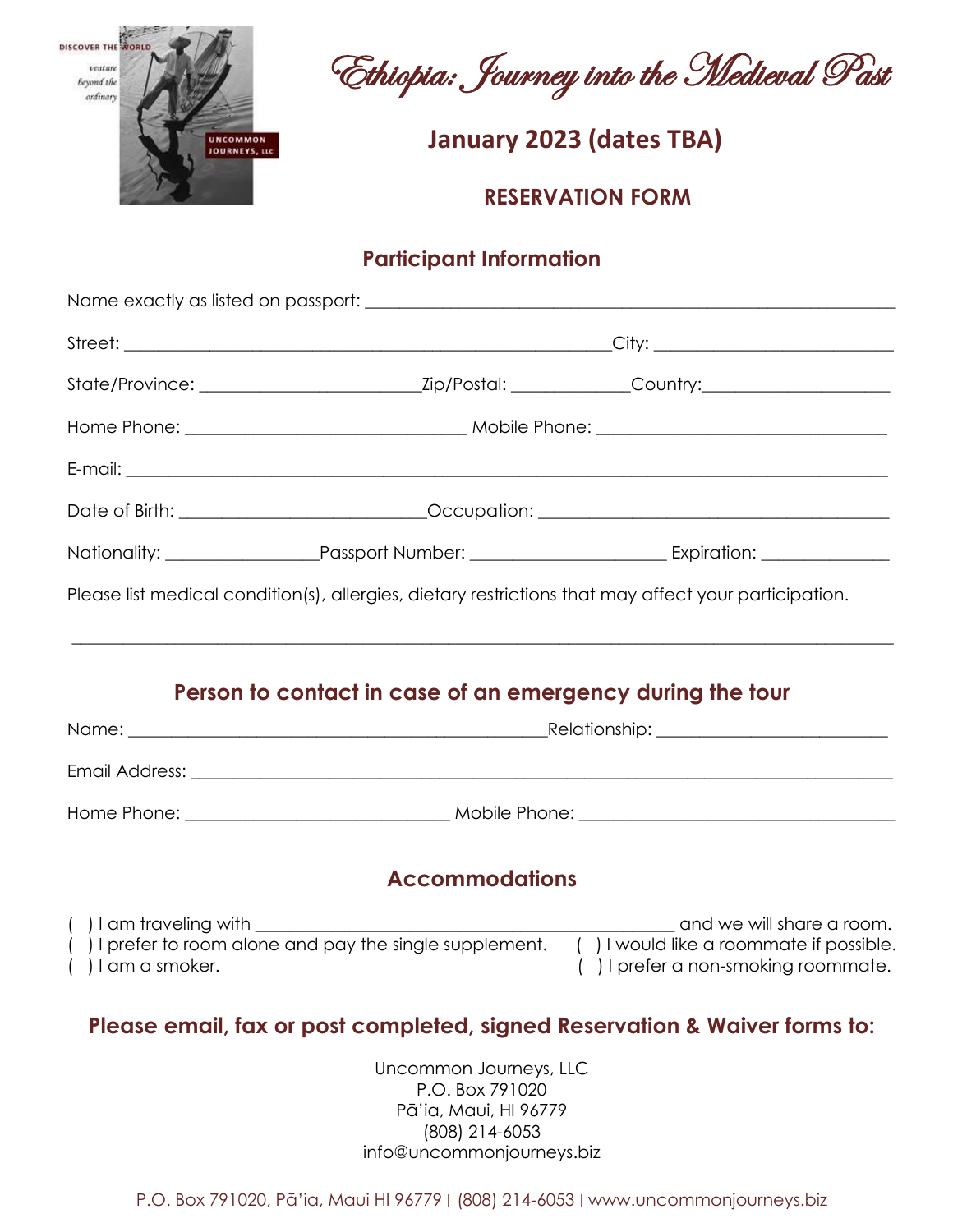

DESCOVER THE WORLD CONSCRETING THE WORLD CONSCRETING WORLD CONSCRETING THE CONSCRETING TO A SET

*DISCOMMON BOURNEYS, ILC* **CONSUMING A SERVER JANUARY 2023 (dates TBA)** 

 **RESERVATION FORM**

### **Participant Information**

|                      |                                                                                                                   | Please list medical condition(s), allergies, dietary restrictions that may affect your participation.                                                                                                                                |  |
|----------------------|-------------------------------------------------------------------------------------------------------------------|--------------------------------------------------------------------------------------------------------------------------------------------------------------------------------------------------------------------------------------|--|
|                      | Person to contact in case of an emergency during the tour                                                         |                                                                                                                                                                                                                                      |  |
|                      |                                                                                                                   |                                                                                                                                                                                                                                      |  |
|                      |                                                                                                                   | Email Address: <u>Queen Commission and Commission and Commission and Commission and Commission and Commission and Commission and Commission and Commission and Commission and Commission and Commission and Commission and Commi</u> |  |
|                      |                                                                                                                   |                                                                                                                                                                                                                                      |  |
|                      | <b>Accommodations</b>                                                                                             |                                                                                                                                                                                                                                      |  |
| $( )$ I am a smoker. |                                                                                                                   | () I am traveling with<br>() I prefer to room alone and pay the single supplement. () I would like a roommate if possible.<br>() I prefer a non-smoking roommate.                                                                    |  |
|                      |                                                                                                                   | Please email, fax or post completed, signed Reservation & Waiver forms to:                                                                                                                                                           |  |
|                      | Uncommon Journeys, LLC<br>P.O. Box 791020<br>Pā'ia, Maui, HI 96779<br>(808) 214-6053<br>info@uncommonjourneys.biz |                                                                                                                                                                                                                                      |  |

P.O. Box 791020, Pā'ia, Maui HI 96779 ∣ (808) 214-6053 ∣ www.uncommonjourneys.biz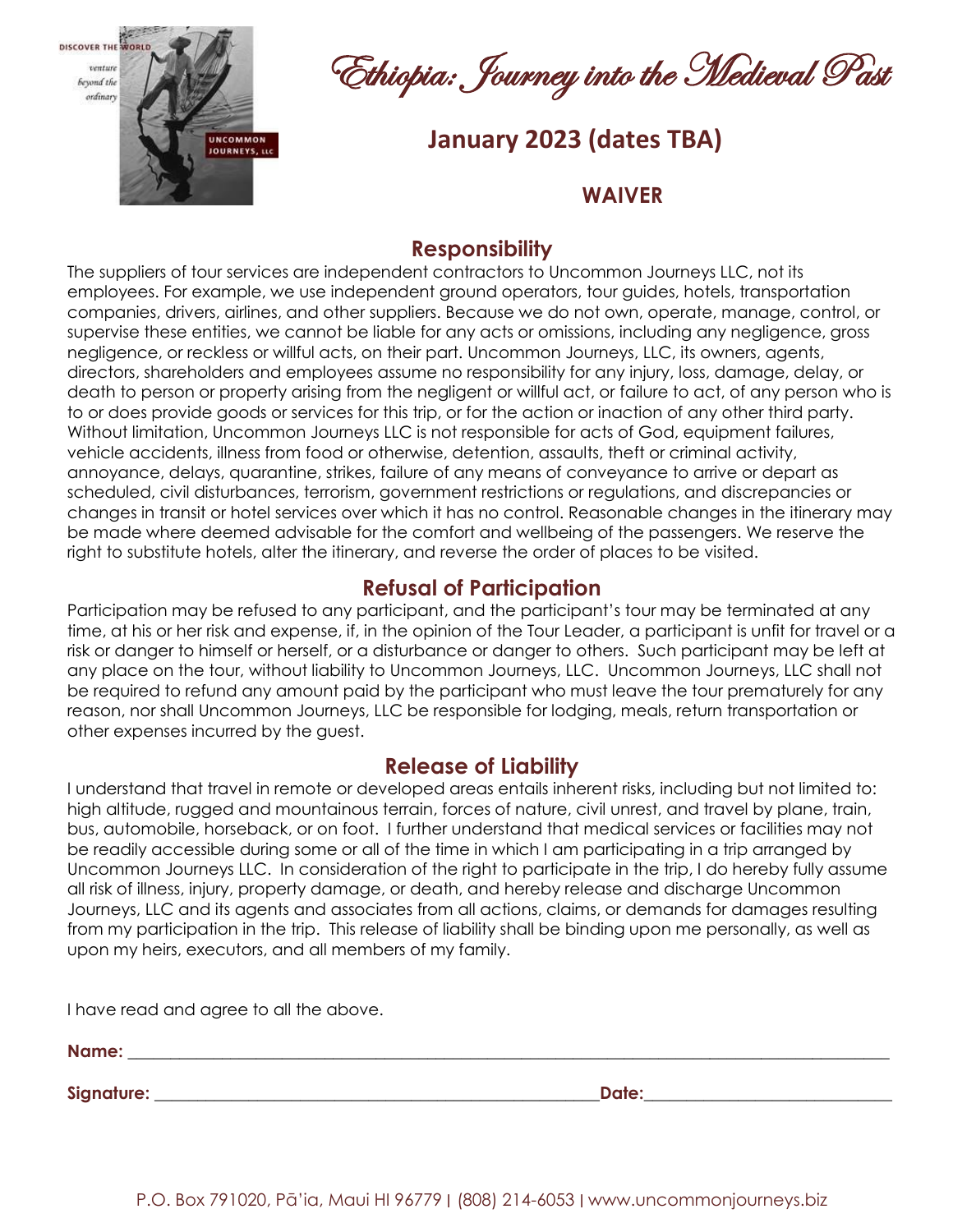

DISCOVER THE SHORID CONSCRETE STRANGE OF THE SHORIDAN Past

*DRCOMMON***<sub>R</sub> (COLORENT DATE)**<br> *JANUARYS, LLC***</del>** 

#### **WAIVER**

#### **Responsibility**

The suppliers of tour services are independent contractors to Uncommon Journeys LLC, not its employees. For example, we use independent ground operators, tour guides, hotels, transportation companies, drivers, airlines, and other suppliers. Because we do not own, operate, manage, control, or supervise these entities, we cannot be liable for any acts or omissions, including any negligence, gross negligence, or reckless or willful acts, on their part. Uncommon Journeys, LLC, its owners, agents, directors, shareholders and employees assume no responsibility for any injury, loss, damage, delay, or death to person or property arising from the negligent or willful act, or failure to act, of any person who is to or does provide goods or services for this trip, or for the action or inaction of any other third party. Without limitation, Uncommon Journeys LLC is not responsible for acts of God, equipment failures, vehicle accidents, illness from food or otherwise, detention, assaults, theft or criminal activity, annoyance, delays, quarantine, strikes, failure of any means of conveyance to arrive or depart as scheduled, civil disturbances, terrorism, government restrictions or regulations, and discrepancies or changes in transit or hotel services over which it has no control. Reasonable changes in the itinerary may be made where deemed advisable for the comfort and wellbeing of the passengers. We reserve the right to substitute hotels, alter the itinerary, and reverse the order of places to be visited.

### **Refusal of Participation**

Participation may be refused to any participant, and the participant's tour may be terminated at any time, at his or her risk and expense, if, in the opinion of the Tour Leader, a participant is unfit for travel or a risk or danger to himself or herself, or a disturbance or danger to others. Such participant may be left at any place on the tour, without liability to Uncommon Journeys, LLC. Uncommon Journeys, LLC shall not be required to refund any amount paid by the participant who must leave the tour prematurely for any reason, nor shall Uncommon Journeys, LLC be responsible for lodging, meals, return transportation or other expenses incurred by the guest.

#### **Release of Liability**

I understand that travel in remote or developed areas entails inherent risks, including but not limited to: high altitude, rugged and mountainous terrain, forces of nature, civil unrest, and travel by plane, train, bus, automobile, horseback, or on foot. I further understand that medical services or facilities may not be readily accessible during some or all of the time in which I am participating in a trip arranged by Uncommon Journeys LLC. In consideration of the right to participate in the trip, I do hereby fully assume all risk of illness, injury, property damage, or death, and hereby release and discharge Uncommon Journeys, LLC and its agents and associates from all actions, claims, or demands for damages resulting from my participation in the trip. This release of liability shall be binding upon me personally, as well as upon my heirs, executors, and all members of my family.

I have read and agree to all the above.

**Name: \_\_\_\_\_\_\_\_\_\_\_\_\_\_\_\_\_\_\_\_\_\_\_\_\_\_\_\_\_\_\_\_\_\_\_\_\_\_\_\_\_\_\_\_\_\_\_\_\_\_\_\_\_\_\_\_\_\_\_\_\_\_\_\_\_\_\_\_\_\_\_\_\_\_\_\_\_\_\_\_\_\_\_\_\_\_\_\_\_**

**Signature:**  $\blacksquare$